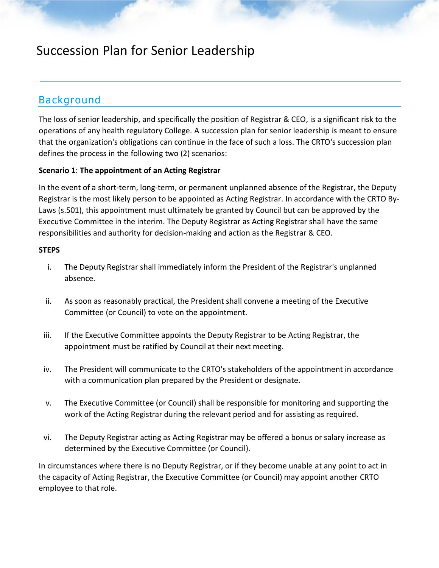## Succession Plan for Senior Leadership

### Background

The loss of senior leadership, and specifically the position of Registrar & CEO, is a significant risk to the operations of any health regulatory College. A succession plan for senior leadership is meant to ensure that the organization's obligations can continue in the face of such a loss. The CRTO's succession plan defines the process in the following two (2) scenarios:

### **Scenario 1**: **The appointment of an Acting Registrar**

In the event of a short-term, long-term, or permanent unplanned absence of the Registrar, the Deputy Registrar is the most likely person to be appointed as Acting Registrar. In accordance with the CRTO By-Laws (s.501), this appointment must ultimately be granted by Council but can be approved by the Executive Committee in the interim. The Deputy Registrar as Acting Registrar shall have the same responsibilities and authority for decision-making and action as the Registrar & CEO.

### **STEPS**

- i. The Deputy Registrar shall immediately inform the President of the Registrar's unplanned absence.
- ii. As soon as reasonably practical, the President shall convene a meeting of the Executive Committee (or Council) to vote on the appointment.
- iii. If the Executive Committee appoints the Deputy Registrar to be Acting Registrar, the appointment must be ratified by Council at their next meeting.
- iv. The President will communicate to the CRTO's stakeholders of the appointment in accordance with a communication plan prepared by the President or designate.
- v. The Executive Committee (or Council) shall be responsible for monitoring and supporting the work of the Acting Registrar during the relevant period and for assisting as required.
- vi. The Deputy Registrar acting as Acting Registrar may be offered a bonus or salary increase as determined by the Executive Committee (or Council).

In circumstances where there is no Deputy Registrar, or if they become unable at any point to act in the capacity of Acting Registrar, the Executive Committee (or Council) may appoint another CRTO employee to that role.